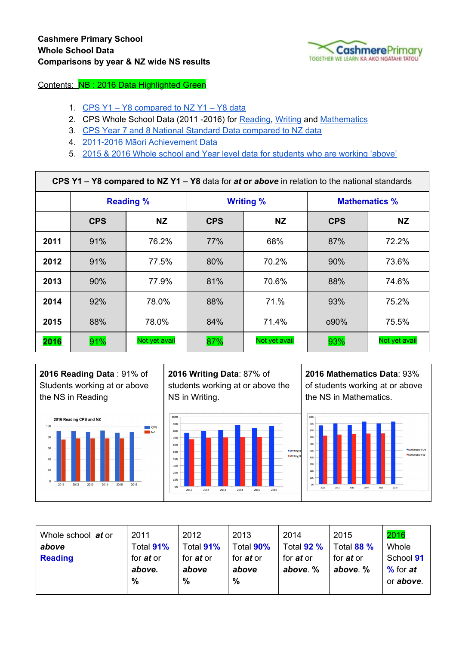

Contents: NB : 2016 Data Highlighted Green

- 1. [CPS Y1 Y8 compared](#page-0-0) to NZ Y1 Y8 data
- 2. CPS Whole School Data (2011 -2016) for [Reading,](#page-0-1) [Writing](#page-1-0) and [Mathematics](#page-1-1)
- 3. CPS Year 7 and 8 National Standard Data compared to NZ data
- 4. [2011-2016 Māori Achievement](https://docs.google.com/a/cashmereprimary.school.nz/document/d/10CMb40XXEFJ9edV1PNRAezjlP3dTY1bGvm5S-ipJFqg/edit?usp=sharing) Data
- 5. [2015 & 2016 Whole](#page-3-0) school and Year level data for students who are working 'above'

<span id="page-0-0"></span>

| CPS Y1 - Y8 compared to NZ Y1 - Y8 data for at or above in relation to the national standards |                  |               |            |                  |                      |               |  |  |  |
|-----------------------------------------------------------------------------------------------|------------------|---------------|------------|------------------|----------------------|---------------|--|--|--|
|                                                                                               | <b>Reading %</b> |               |            | <b>Writing %</b> | <b>Mathematics %</b> |               |  |  |  |
|                                                                                               | <b>CPS</b>       | <b>NZ</b>     | <b>CPS</b> | <b>NZ</b>        | <b>CPS</b>           | <b>NZ</b>     |  |  |  |
| 2011                                                                                          | 91%              | 76.2%         | 77%        | 68%              | 87%                  | 72.2%         |  |  |  |
| 2012                                                                                          | 91%              | 77.5%         | 80%        | 70.2%            | 90%                  | 73.6%         |  |  |  |
| 2013                                                                                          | 90%              | 77.9%         | 81%        | 70.6%            | 88%                  | 74.6%         |  |  |  |
| 2014                                                                                          | 92%              | 78.0%         | 88%        | 71.%             | 93%                  | 75.2%         |  |  |  |
| 2015                                                                                          | 88%              | 78.0%         | 84%        | 71.4%            | $090\%$              | 75.5%         |  |  |  |
| 2016                                                                                          | 91%              | Not yet avail | 87%        | Not yet avail    | 93%                  | Not yet avail |  |  |  |



**2016 Mathematics Data**: 93% of students working at or above the NS in Mathematics.



<span id="page-0-1"></span>

| Whole school at or<br>above | 2011<br>Total 91%          | 2012<br>Total 91%         | 2013<br>Total 90%         | 2014<br>Total 92 %           | 2015<br>Total 88 %           | 2016<br>Whole             |
|-----------------------------|----------------------------|---------------------------|---------------------------|------------------------------|------------------------------|---------------------------|
| <b>Reading</b>              | for <i>at</i> or<br>above. | for <i>at</i> or<br>above | for <i>at</i> or<br>above | for <i>at</i> or<br>above. % | for <i>at</i> or<br>above. % | School 91<br>$%$ for $at$ |
|                             | %                          | %                         | %                         |                              |                              | or above.                 |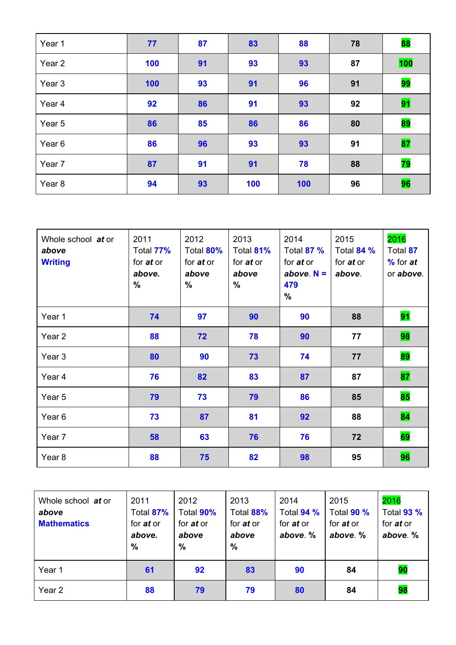| Year 1            | 77  | 87 | 83  | 88  | 78 | 88  |
|-------------------|-----|----|-----|-----|----|-----|
| Year <sub>2</sub> | 100 | 91 | 93  | 93  | 87 | 100 |
| Year 3            | 100 | 93 | 91  | 96  | 91 | 99  |
| Year <sub>4</sub> | 92  | 86 | 91  | 93  | 92 | 91  |
| Year 5            | 86  | 85 | 86  | 86  | 80 | 89  |
| Year <sub>6</sub> | 86  | 96 | 93  | 93  | 91 | 87  |
| Year 7            | 87  | 91 | 91  | 78  | 88 | 79  |
| Year 8            | 94  | 93 | 100 | 100 | 96 | 96  |

<span id="page-1-0"></span>

| 2011<br>Total 77%<br>for <i>at</i> or<br>above.<br>$\frac{0}{0}$ | 2012<br>Total 80%<br>for <i>at</i> or<br>above<br>$\%$ | 2013<br>Total 81%<br>for <i>at</i> or<br>above<br>$\frac{0}{0}$ | 2014<br>Total 87 %<br>for <i>at</i> or<br>above $N =$<br>479<br>$\frac{0}{0}$ | 2015<br>Total 84 %<br>for <i>at</i> or<br>above. | 2016<br>Total 87<br>$%$ for $at$<br>or above. |
|------------------------------------------------------------------|--------------------------------------------------------|-----------------------------------------------------------------|-------------------------------------------------------------------------------|--------------------------------------------------|-----------------------------------------------|
| 74                                                               | 97                                                     | 90                                                              | 90                                                                            | 88                                               | 91                                            |
| 88                                                               | 72                                                     | 78                                                              | 90                                                                            | 77                                               | 98                                            |
| 80                                                               | 90                                                     | 73                                                              | 74                                                                            | 77                                               | 89                                            |
| 76                                                               | 82                                                     | 83                                                              | 87                                                                            | 87                                               | 87                                            |
| 79                                                               | 73                                                     | 79                                                              | 86                                                                            | 85                                               | 85                                            |
| 73                                                               | 87                                                     | 81                                                              | 92                                                                            | 88                                               | 84                                            |
| 58                                                               | 63                                                     | 76                                                              | 76                                                                            | 72                                               | 69                                            |
| 88                                                               | 75                                                     | 82                                                              | 98                                                                            | 95                                               | 96                                            |
|                                                                  |                                                        |                                                                 |                                                                               |                                                  |                                               |

<span id="page-1-1"></span>

| Whole school at or<br>above<br><b>Mathematics</b> | 2011<br>Total 87%<br>for <i>at</i> or<br>above.<br>% | 2012<br>Total 90%<br>for <i>at</i> or<br>above<br>% | 2013<br>Total 88%<br>for <i>at</i> or<br>above<br>$\frac{0}{0}$ | 2014<br>Total 94 %<br>for <i>at</i> or<br>above. % | 2015<br>Total 90 %<br>for <i>at</i> or<br>above. % | 2016<br>Total 93 %<br>for <i>at</i> or<br>above. % |
|---------------------------------------------------|------------------------------------------------------|-----------------------------------------------------|-----------------------------------------------------------------|----------------------------------------------------|----------------------------------------------------|----------------------------------------------------|
| Year 1                                            | 61                                                   | 92                                                  | 83                                                              | 90                                                 | 84                                                 | 90                                                 |
| Year 2                                            | 88                                                   | 79                                                  | 79                                                              | 80                                                 | 84                                                 | 98                                                 |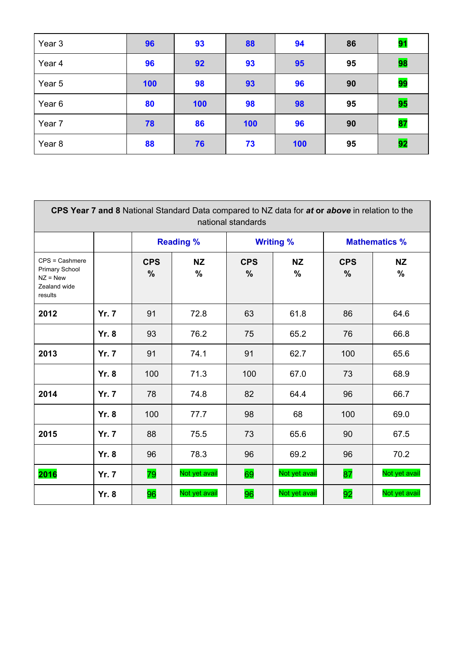| Year 3 | 96  | 93  | 88  | 94  | 86 | 91 |
|--------|-----|-----|-----|-----|----|----|
| Year 4 | 96  | 92  | 93  | 95  | 95 | 98 |
| Year 5 | 100 | 98  | 93  | 96  | 90 | 99 |
| Year 6 | 80  | 100 | 98  | 98  | 95 | 95 |
| Year 7 | 78  | 86  | 100 | 96  | 90 | 87 |
| Year 8 | 88  | 76  | 73  | 100 | 95 | 92 |

| national standards                                                                 |              |                    |                   |                             |                            |                      |                   |  |  |  |
|------------------------------------------------------------------------------------|--------------|--------------------|-------------------|-----------------------------|----------------------------|----------------------|-------------------|--|--|--|
|                                                                                    |              | <b>Reading %</b>   |                   | <b>Writing %</b>            |                            | <b>Mathematics %</b> |                   |  |  |  |
| $CPS = Cashmere$<br><b>Primary School</b><br>$NZ = New$<br>Zealand wide<br>results |              | <b>CPS</b><br>$\%$ | <b>NZ</b><br>$\%$ | <b>CPS</b><br>$\frac{0}{0}$ | <b>NZ</b><br>$\frac{9}{6}$ | <b>CPS</b><br>$\%$   | <b>NZ</b><br>$\%$ |  |  |  |
| 2012                                                                               | <b>Yr. 7</b> | 91                 | 72.8              | 63                          | 61.8                       | 86                   | 64.6              |  |  |  |
|                                                                                    | <b>Yr. 8</b> | 93                 | 76.2              | 75                          | 65.2                       | 76                   | 66.8              |  |  |  |
| 2013                                                                               | <b>Yr. 7</b> | 91                 | 74.1              | 91                          | 62.7                       | 100                  | 65.6              |  |  |  |
|                                                                                    | <b>Yr. 8</b> | 100                | 71.3              | 100                         | 67.0                       | 73                   | 68.9              |  |  |  |
| 2014                                                                               | <b>Yr. 7</b> | 78                 | 74.8              | 82                          | 64.4                       | 96                   | 66.7              |  |  |  |
|                                                                                    | <b>Yr. 8</b> | 100                | 77.7              | 98                          | 68                         | 100                  | 69.0              |  |  |  |
| 2015                                                                               | <b>Yr. 7</b> | 88                 | 75.5              | 73                          | 65.6                       | 90                   | 67.5              |  |  |  |
|                                                                                    | <b>Yr. 8</b> | 96                 | 78.3              | 96                          | 69.2                       | 96                   | 70.2              |  |  |  |
| 2016                                                                               | <b>Yr. 7</b> | 79                 | Not yet avail     | 69                          | Not yet avail              | 87                   | Not yet avail     |  |  |  |
|                                                                                    | <b>Yr. 8</b> | 96                 | Not yet avail     | 96                          | Not yet avail              | 92                   | Not yet avail     |  |  |  |